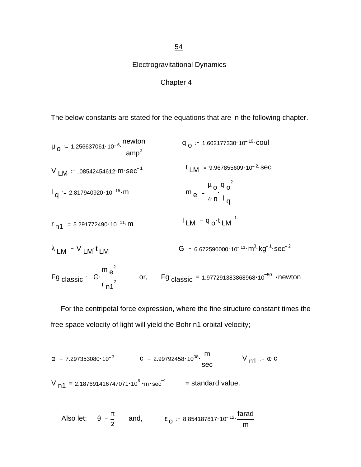54

Electrogravitational Dynamics

## Chapter 4

The below constants are stated for the equations that are in the following chapter.

$$
\mu_{0} = 1.256637061 \cdot 10^{-6} \cdot \frac{Newton}{amp^{2}}
$$
\n
$$
q_{0} = 1.602177330 \cdot 10^{-19} \cdot \text{coul}
$$
\n
$$
V_{LM} = .08542454612 \cdot m \cdot \text{sec}^{-1}
$$
\n
$$
t_{LM} = 9.967855609 \cdot 10^{-2} \cdot \text{sec}
$$
\n
$$
q_{q} = 2.817940920 \cdot 10^{-15} \cdot m
$$
\n
$$
m_{e} = \frac{\mu_{0} \cdot q_{0}^{2}}{4 \cdot \pi \cdot l_{q}}
$$
\n
$$
r_{n1} = 5.291772490 \cdot 10^{-11} \cdot m
$$
\n
$$
l_{LM} = q_{0} \cdot t_{LM}^{-1}
$$

$$
\lambda
$$
 LM <sup>:=</sup> V LM<sup>+</sup> LM  
\n $G$  = 6.672590000·10<sup>-11</sup>·m<sup>3</sup>·kg<sup>-1</sup>·sec<sup>-2</sup>  
\n $Fig \, classic := G \cdot \frac{m e^2}{r n^2}$  or,  $Fig \, classic = 1.977291383868968·10-50·newton$ 

 For the centripetal force expression, where the fine structure constant times the free space velocity of light will yield the Bohr n1 orbital velocity;

$$
\alpha
$$
 := 7.297353080·10<sup>-3</sup> C := 2.99792458·10<sup>08</sup>· $\frac{m}{\sec}$  V<sub>n1</sub> :=  $\alpha$ ·C  
V<sub>n1</sub> = 2.187691416747071·10<sup>6</sup>·m·sec<sup>-1</sup> = standard value.

Also let: 
$$
\theta = \frac{\pi}{2}
$$
 and,  $\epsilon_0 = 8.854187817 \cdot 10^{-12} \cdot \frac{\text{farad}}{\text{m}}$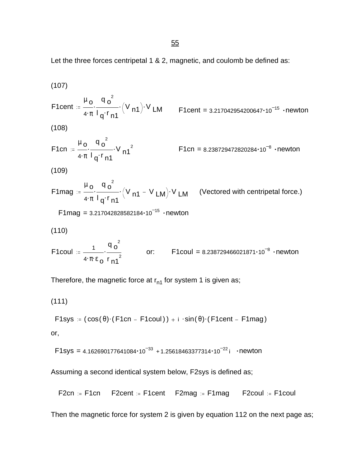Let the three forces centripetal 1 & 2, magnetic, and coulomb be defined as:

(107)  
\n
$$
F1cent := \frac{\mu_0}{4 \cdot \pi} \frac{q_0^2}{1 q^2 \cdot n 1} (V_{n1}) \cdot V_{LM}
$$
\n
$$
F1cent = 3.217042954200647 \cdot 10^{-15} \cdot newton
$$
\n(108)  
\n
$$
F1cn := \frac{\mu_0}{4 \cdot \pi} \frac{q_0^2}{1 q^2 \cdot n 1} \cdot V_{n1}^2
$$
\n
$$
F1cn = 8.238729472820284 \cdot 10^{-8} \cdot newton
$$
\n(109)  
\n
$$
F1mag := \frac{\mu_0}{4 \cdot \pi} \frac{q_0^2}{1 q^2 \cdot n 1} \cdot (V_{n1} - V_{LM}) \cdot V_{LM}
$$
\n(Vectored with centripetal force.)  
\n
$$
F1mag = 3.217042828582184 \cdot 10^{-15} \cdot newton
$$
\n(110)  
\n
$$
F1coul := \frac{1}{4 \cdot \pi} \cdot \frac{q_0^2}{1 q^2 \cdot n 1} \quad or: \quad F1coul = 8.238729466021871 \cdot 10^{-8} \cdot newton
$$

Therefore, the magnetic force at  $r_{n1}$  for system 1 is given as;

$$
(111)
$$

$$
\text{F1sys} := (\cos(\theta) \cdot (\text{F1cn} - \text{F1coul})) + i \cdot \sin(\theta) \cdot (\text{F1cent} - \text{F1mag})
$$

or,

$$
F1sys = 4.162690177641084 \cdot 10^{-33} + 1.25618463377314 \cdot 10^{-22} i \cdot newton
$$

Assuming a second identical system below, F2sys is defined as;

From 
$$
:=
$$
 F1cn

\n**F2cent**  $:=$  F1cent

\n**F2mag**  $:=$  F1mag

\n**F2cou**  $:=$  F1coul

Then the magnetic force for system 2 is given by equation 112 on the next page as;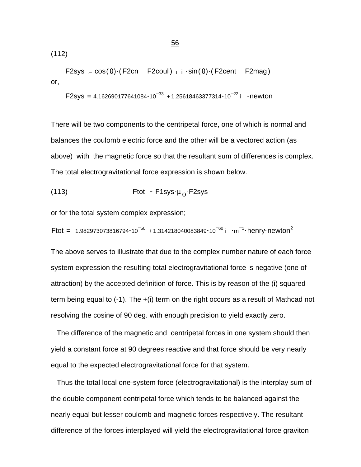(112)

$$
\mathsf{F2sys} := \cos(\theta) \cdot (\mathsf{F2cn} - \mathsf{F2coul}) + i \cdot \sin(\theta) \cdot (\mathsf{F2cent} - \mathsf{F2mag})
$$
 or,

$$
F2sys = 4.162690177641084 \cdot 10^{-33} + 1.25618463377314 \cdot 10^{-22} i \cdot newton
$$

There will be two components to the centripetal force, one of which is normal and balances the coulomb electric force and the other will be a vectored action (as above) with the magnetic force so that the resultant sum of differences is complex. The total electrogravitational force expression is shown below.

(113) 
$$
Ftot = F1sys \cdot \mu_0 \cdot F2sys
$$

or for the total system complex expression;

Ftot = -1.982973073816794•10 $^{-50}$  +1.314218040083849•10 $^{-60}$ i •m $^{-1}$ •henry•newton $^2$ 

The above serves to illustrate that due to the complex number nature of each force system expression the resulting total electrogravitational force is negative (one of attraction) by the accepted definition of force. This is by reason of the (i) squared term being equal to (-1). The +(i) term on the right occurs as a result of Mathcad not resolving the cosine of 90 deg. with enough precision to yield exactly zero.

 The difference of the magnetic and centripetal forces in one system should then yield a constant force at 90 degrees reactive and that force should be very nearly equal to the expected electrogravitational force for that system.

 Thus the total local one-system force (electrogravitational) is the interplay sum of the double component centripetal force which tends to be balanced against the nearly equal but lesser coulomb and magnetic forces respectively. The resultant difference of the forces interplayed will yield the electrogravitational force graviton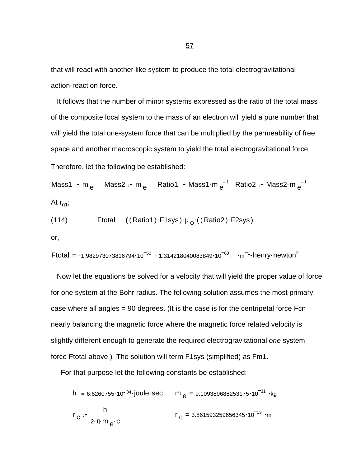that will react with another like system to produce the total electrogravitational action-reaction force.

 It follows that the number of minor systems expressed as the ratio of the total mass of the composite local system to the mass of an electron will yield a pure number that will yield the total one-system force that can be multiplied by the permeability of free space and another macroscopic system to yield the total electrogravitational force.

Therefore, let the following be established:

Mass1 := m  $_{\sf e}$  Mass2 := m  $_{\sf e}$  Ratio1 := Mass1 $\cdot$ m  $_{\sf e}^{-1}$  Ratio2 := Mass2 $\cdot$ m  $_{\sf e}^{-1}$ At  $r_{n1}$ ;

(114) 
$$
Ftotal := ((Ratio1) \cdot F1sys) \cdot \mu_0 \cdot ((Ratio2) \cdot F2sys)
$$

or,

$$
Ftotal = -1.982973073816794 \cdot 10^{-50} + 1.314218040083849 \cdot 10^{-60} i \cdot m^{-1} \cdot henry \cdot newton^2
$$

 Now let the equations be solved for a velocity that will yield the proper value of force for one system at the Bohr radius. The following solution assumes the most primary case where all angles = 90 degrees. (It is the case is for the centripetal force Fcn nearly balancing the magnetic force where the magnetic force related velocity is slightly different enough to generate the required electrogravitational *one* system force Ftotal above.) The solution will term F1sys (simplified) as Fm1.

For that purpose let the following constants be established:

h := 6.6260755 $\cdot$ 10<sup>-34</sup> $\cdot$ joule $\cdot$ sec m  $_{\sf e}$  = 9.109389688253175 $\cdot$ 10 $^{-31}$   $\cdot$ kg r c h 2·π·m <sub>e</sub>·c  $r_{\rm\,C}^{}$  = 3.861593259656345 $\cdot$ 10 $^{-13}$   $\cdot$ m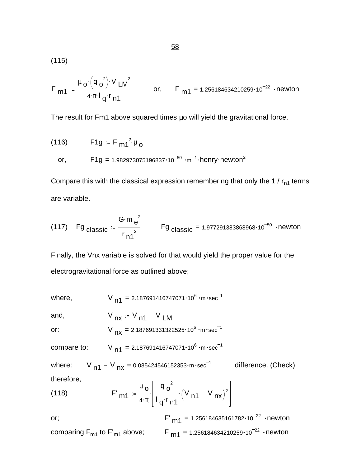(115)

$$
F_{m1} = \frac{\mu_0 \cdot (q_0^2) \cdot V_{LM}^2}{4 \cdot \pi \cdot l_q \cdot r_{n1}}
$$
 or,  $F_{m1} = 1.256184634210259 \cdot 10^{-22}$  newton

The result for Fm1 above squared times μo will yield the gravitational force.

(116) 
$$
F1g = F_{m1}^{2} \mu_{o}
$$
  
or, 
$$
F1g = 1.982973075196837 \cdot 10^{-50} \cdot m^{-1} \cdot \text{henry-newton}^{2}
$$

Compare this with the classical expression remembering that only the 1 /  $r_{n1}$  terms are variable.

(117) Fg classic = 
$$
\frac{G \cdot m e^2}{r n^2}
$$
 Fg classic = 1.977291383868968 \cdot 10<sup>-50</sup> - newton

Finally, the Vnx variable is solved for that would yield the proper value for the electrogravitational force as outlined above;

where,  $V_{n1} = 2.187691416747071 \cdot 10^6 \cdot m \cdot sec^{-1}$ 

and,  $V_{nx} = V_{n1} - V_{LM}$ 

or:  $V_{nx} = 2.187691331322525 \cdot 10^6 \cdot m \cdot sec^{-1}$ 

compare to:  $V_{n1} = 2.187691416747071 \cdot 10^6 \cdot m \cdot sec^{-1}$ 

where:  $V_{n1}$  –  $V_{nx}$  = 0.085424546152353 $\cdot$ m $\cdot$ sec $^{-1}$  difference. (Check) therefore,  $\begin{bmatrix} 2 & 3 \end{bmatrix}$  $\blacksquare$ 

(118) 
$$
F'_{m1} = \frac{\mu_0}{4 \cdot \pi} \left[ \frac{q_0^2}{l_q \cdot r_{n1}} \left( V_{n1} - V_{nx} \right)^2 \right]
$$

or;  $F'_{m1} = 1.256184635161782 \cdot 10^{-22}$  newton comparing  $F_{m1}$  to  $F'_{m1}$  above;  $F_{m1} = 1.256184634210259 \cdot 10^{-22}$  · newton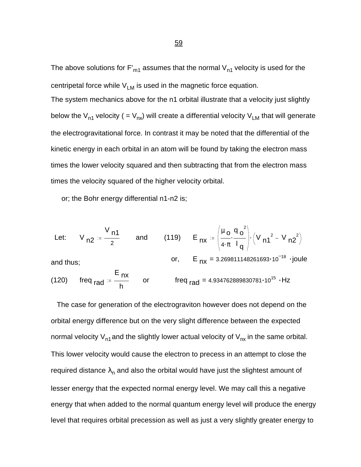The above solutions for  $F_{m1}$  assumes that the normal  $V_{n1}$  velocity is used for the centripetal force while  $V_{LM}$  is used in the magnetic force equation.

The system mechanics above for the n1 orbital illustrate that a velocity just slightly below the V<sub>n1</sub> velocity ( = V<sub>nx</sub>) will create a differential velocity V<sub>LM</sub> that will generate the electrogravitational force. In contrast it may be noted that the differential of the kinetic energy in each orbital in an atom will be found by taking the electron mass times the lower velocity squared and then subtracting that from the electron mass times the velocity squared of the higher velocity orbital.

or; the Bohr energy differential n1-n2 is;

Let: 
$$
V_{n2} = \frac{V_{n1}}{2}
$$
 and (119)  $E_{nx} = \left(\frac{\mu_0}{4 \cdot \pi} \cdot \frac{q_0^2}{l_q}\right) \cdot \left(V_{n1}^2 - V_{n2}^2\right)$   
and thus;  
or,  $E_{nx} = 3.269811148261693 \cdot 10^{-18} \cdot joule$   
(120) freq<sub>rad</sub>  $= \frac{E_{nx}}{h}$  or freq<sub>rad</sub> = 4.934762889830781 \cdot 10<sup>15</sup> · Hz

 The case for generation of the electrograviton however does not depend on the orbital energy difference but on the very slight difference between the expected normal velocity  $V_{n1}$  and the slightly lower actual velocity of  $V_{nx}$  in the same orbital. This lower velocity would cause the electron to precess in an attempt to close the required distance  $\lambda_{\sf n}$  and also the orbital would have just the slightest amount of lesser energy that the expected normal energy level. We may call this a negative energy that when added to the normal quantum energy level will produce the energy level that requires orbital precession as well as just a very slightly greater energy to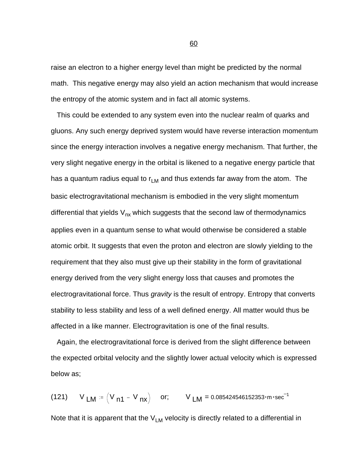raise an electron to a higher energy level than might be predicted by the normal math. This negative energy may also yield an action mechanism that would increase the entropy of the atomic system and in fact all atomic systems.

 This could be extended to any system even into the nuclear realm of quarks and gluons. Any such energy deprived system would have reverse interaction momentum since the energy interaction involves a negative energy mechanism. That further, the very slight negative energy in the orbital is likened to a negative energy particle that has a quantum radius equal to  $r_{LM}$  and thus extends far away from the atom. The basic electrogravitational mechanism is embodied in the very slight momentum differential that yields  $V_{nx}$  which suggests that the second law of thermodynamics applies even in a quantum sense to what would otherwise be considered a stable atomic orbit. It suggests that even the proton and electron are slowly yielding to the requirement that they also must give up their stability in the form of gravitational energy derived from the very slight energy loss that causes and promotes the electrogravitational force. Thus *gravity* is the result of entropy. Entropy that converts stability to less stability and less of a well defined energy. All matter would thus be affected in a like manner. Electrogravitation is one of the final results.

 Again, the electrogravitational force is derived from the slight difference between the expected orbital velocity and the slightly lower actual velocity which is expressed below as;

(121) V LM =  $(V_{n1} - V_{nx})$  or; V LM = 0.085424546152353 $\cdot m \cdot sec^{-1}$ 

Note that it is apparent that the  $V_{LM}$  velocity is directly related to a differential in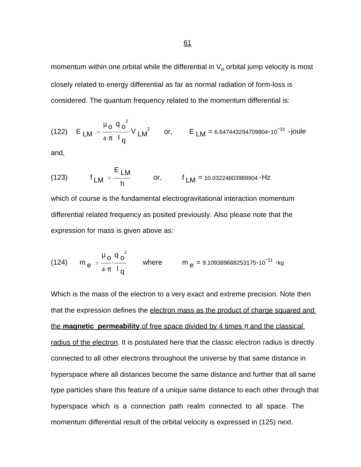momentum within one orbital while the differential in  $\mathsf{V}_{\mathsf{n}}$  orbital jump velocity is most closely related to energy differential as far as normal radiation of form-loss is considered. The quantum frequency related to the momentum differential is:

(122) 
$$
E_{LM} = \frac{\mu_0}{4 \cdot \pi} \cdot \frac{q_0^2}{l_q}
$$
 V  $LM^2$  or,  $E_{LM} = 6.647443294709804 \cdot 10^{-33}$  -joule

and,

(123) 
$$
f_{LM} = \frac{E_{LM}}{h}
$$
 or,  $f_{LM} = 10.03224803989904 \cdot Hz$ 

which of course is the fundamental electrogravitational interaction momentum differential related frequency as posited previously. Also please note that the expression for mass is given above as:

(124) 
$$
m_e = \frac{\mu_o}{4 \cdot \pi} \frac{q_o^2}{l_q}
$$
 where  $m_e = 9.109389688253175 \cdot 10^{-31} \cdot kg$ 

Which is the mass of the electron to a very exact and extreme precision. Note then that the expression defines the electron mass as the product of charge squared and the **magnetic permeability** of free space divided by 4 times  $\pi$  and the classical radius of the electron. It is postulated here that the classic electron radius is directly connected to all other electrons throughout the universe by that same distance in hyperspace where all distances become the same distance and further that all same type particles share this feature of a unique same distance to each other through that hyperspace which is a connection path realm connected to all space. The momentum differential result of the orbital velocity is expressed in (125) next.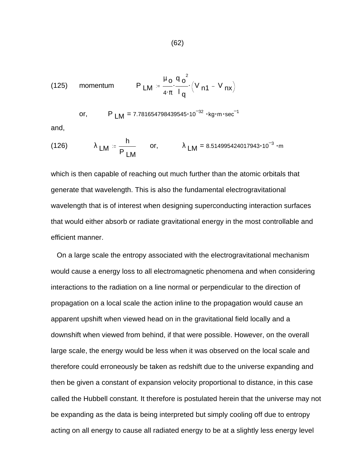(125) momentum 
$$
P_{LM} = \frac{\mu_0}{4 \cdot \pi} \cdot \frac{q_0^2}{l_q} \cdot (V_{n1} - V_{nx})
$$

or, 
$$
P_{LM} = 7.781654798439545 \cdot 10^{-32} \cdot kg \cdot m \cdot sec^{-1}
$$

and,

(126) 
$$
\lambda_{LM} = \frac{h}{P_{LM}}
$$
 or,  $\lambda_{LM} = 8.514995424017943 \cdot 10^{-3} \cdot m$ 

which is then capable of reaching out much further than the atomic orbitals that generate that wavelength. This is also the fundamental electrogravitational wavelength that is of interest when designing superconducting interaction surfaces that would either absorb or radiate gravitational energy in the most controllable and efficient manner.

 On a large scale the entropy associated with the electrogravitational mechanism would cause a energy loss to all electromagnetic phenomena and when considering interactions to the radiation on a line normal or perpendicular to the direction of propagation on a local scale the action inline to the propagation would cause an apparent upshift when viewed head on in the gravitational field locally and a downshift when viewed from behind, if that were possible. However, on the overall large scale, the energy would be less when it was observed on the local scale and therefore could erroneously be taken as redshift due to the universe expanding and then be given a constant of expansion velocity proportional to distance, in this case called the Hubbell constant. It therefore is postulated herein that the universe may not be expanding as the data is being interpreted but simply cooling off due to entropy acting on all energy to cause all radiated energy to be at a slightly less energy level

(62)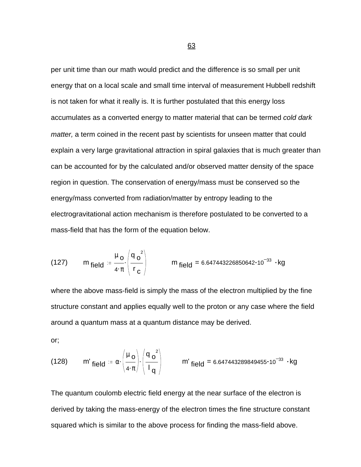per unit time than our math would predict and the difference is so small per unit energy that on a local scale and small time interval of measurement Hubbell redshift is not taken for what it really is. It is further postulated that this energy loss accumulates as a converted energy to matter material that can be termed *cold dark matter,* a term coined in the recent past by scientists for unseen matter that could explain a very large gravitational attraction in spiral galaxies that is much greater than can be accounted for by the calculated and/or observed matter density of the space region in question. The conservation of energy/mass must be conserved so the energy/mass converted from radiation/matter by entropy leading to the electrogravitational action mechanism is therefore postulated to be converted to a mass-field that has the form of the equation below.

(127) 
$$
m_{field} = \frac{\mu_o}{4 \cdot \pi} \left( \frac{q_o^2}{r_c} \right)
$$
  $m_{field} = 6.647443226850642 \cdot 10^{-33} \cdot kg$ 

where the above mass-field is simply the mass of the electron multiplied by the fine structure constant and applies equally well to the proton or any case where the field around a quantum mass at a quantum distance may be derived.

or;

(128) 
$$
m'_{\text{field}} = \alpha \cdot \left(\frac{\mu_0}{4 \cdot \pi}\right) \cdot \left(\frac{q_0^2}{1_q}\right)
$$
  $m'_{\text{field}} = 6.647443289849455 \cdot 10^{-33} \cdot \text{kg}$ 

The quantum coulomb electric field energy at the near surface of the electron is derived by taking the mass-energy of the electron times the fine structure constant squared which is similar to the above process for finding the mass-field above.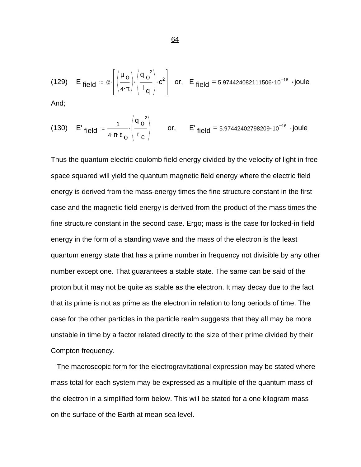(129) E field = 
$$
\alpha \cdot \left[ \left( \frac{\mu_0}{4 \cdot \pi} \right) \cdot \left( \frac{q_0^2}{1_q} \right) \cdot c^2 \right]
$$
 or, E field = 5.974424082111506 \cdot 10<sup>-16</sup> \cdot joule

And;

(130) E' field = 
$$
\frac{1}{4 \cdot \pi \cdot \epsilon_0} \cdot \left( \frac{q_0^2}{r_c} \right)
$$
 or, E' field = 5.97442402798209·10<sup>-16</sup> ·joule

Thus the quantum electric coulomb field energy divided by the velocity of light in free space squared will yield the quantum magnetic field energy where the electric field energy is derived from the mass-energy times the fine structure constant in the first case and the magnetic field energy is derived from the product of the mass times the fine structure constant in the second case. Ergo; mass is the case for locked-in field energy in the form of a standing wave and the mass of the electron is the least quantum energy state that has a prime number in frequency not divisible by any other number except one. That guarantees a stable state. The same can be said of the proton but it may not be quite as stable as the electron. It may decay due to the fact that its prime is not as prime as the electron in relation to long periods of time. The case for the other particles in the particle realm suggests that they all may be more unstable in time by a factor related directly to the size of their prime divided by their Compton frequency.

 The macroscopic form for the electrogravitational expression may be stated where mass total for each system may be expressed as a multiple of the quantum mass of the electron in a simplified form below. This will be stated for a one kilogram mass on the surface of the Earth at mean sea level.

64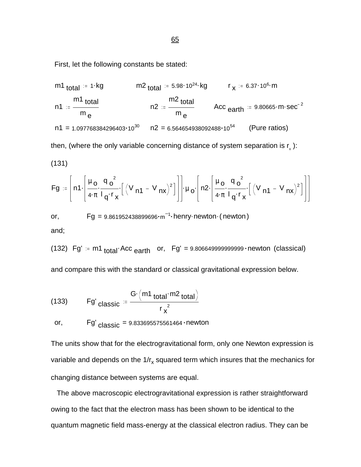First, let the following constants be stated:

m1 total  
\n
$$
11 := \frac{m1}{m} \cdot \frac{1 \cdot kg}{m}
$$
\n
$$
1 = 1.097768384296403 \cdot 10^{30}
$$
\n
$$
10^{30} \quad n2 = 6.564654938092488 \cdot 10^{54}
$$
\n
$$
10^{54} \quad \text{(Pure ratios)}
$$

then, (where the only variable concerning distance of system separation is  $\mathsf{r}_\mathsf{x}$  ):

$$
(131)
$$

$$
Fg := \left[ n1 \cdot \left[ \frac{\mu_0}{4 \cdot \pi} \cdot \frac{q_0^2}{q^r x} \cdot \left[ \left( V_{n1} - V_{nx} \right)^2 \right] \right] \cdot \mu_0 \cdot \left[ n2 \cdot \left[ \frac{\mu_0}{4 \cdot \pi} \cdot \frac{q_0^2}{q^r x} \cdot \left[ \left( V_{n1} - V_{nx} \right)^2 \right] \right] \right]
$$

or,  $\qquad \qquad \text{Fg = } 9.861952438899696 \cdot \text{m}^{-1} \cdot \text{henry}\cdot \text{newton} \cdot (\text{newton})$ and;

 $(132)$  Fg' = m1  $_{\text{total}}$  Acc  $_{\text{earth}}$  or, Fg' = 9.8066499999999999 newton (classical)

and compare this with the standard or classical gravitational expression below.

(133) 
$$
Fg'_{\text{classic}} = \frac{G \cdot (m1_{\text{total}} \cdot m2_{\text{total}})}{r_x^2}
$$

or,  $\mathsf{Fg}'_{\text{classic}} = 9.833695575561464 \cdot \text{newton}$ 

The units show that for the electrogravitational form, only one Newton expression is variable and depends on the 1/r<sub>x</sub> squared term which insures that the mechanics for changing distance between systems are equal.

 The above macroscopic electrogravitational expression is rather straightforward owing to the fact that the electron mass has been shown to be identical to the quantum magnetic field mass-energy at the classical electron radius. They can be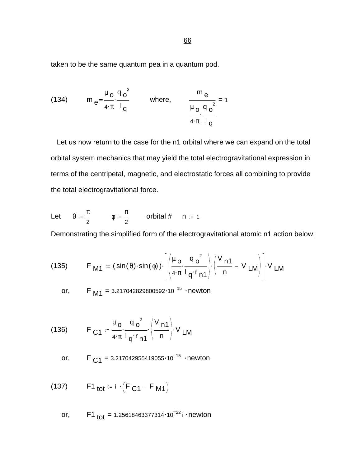taken to be the same quantum pea in a quantum pod.

(134) 
$$
m_e = \frac{\mu_o}{4 \cdot \pi} \cdot \frac{q_o^2}{l_q}
$$
 where,  $\frac{m_e}{\frac{\mu_o}{4 \cdot \pi} \cdot \frac{q_o^2}{l_q}} = 1$ 

 Let us now return to the case for the n1 orbital where we can expand on the total orbital system mechanics that may yield the total electrogravitational expression in terms of the centripetal, magnetic, and electrostatic forces all combining to provide the total electrogravitational force.

Let 
$$
\theta := \frac{\pi}{2}
$$
  $\phi := \frac{\pi}{2}$  orbital # n := 1

Demonstrating the simplified form of the electrogravitational atomic n1 action below;

(135) 
$$
F_{\mathbf{M1}} = (\sin(\theta) \cdot \sin(\phi)) \cdot \left[ \left( \frac{\mu_0}{4 \cdot \pi} \cdot \frac{q_0^2}{1 q \cdot r_{\mathbf{n1}}} \right) \cdot \left( \frac{V_{\mathbf{n1}}}{n} - V_{\mathbf{LM}} \right) \right] \cdot V_{\mathbf{LM}}
$$

or, F  $_{\text{M1}}$  = 3.217042829800592 $\cdot$ 10<sup>-15</sup>  $\cdot$ newton

(136) 
$$
F_{C1} = \frac{\mu_0}{4 \pi} \frac{q_0^2}{l_q r_{n1}} \left(\frac{V_{n1}}{n}\right) V_{LM}
$$

or, F  $_{C1}$  = 3.217042955419055 $\cdot$ 10<sup>-15</sup>  $\cdot$ newton

(137) F1 tot = i  $\cdot$  (F  $_{C1}$  – F M1

or, F1  $_{tot}$  = 1.25618463377314 $\cdot$ 10<sup>-22</sup> i  $\cdot$ newton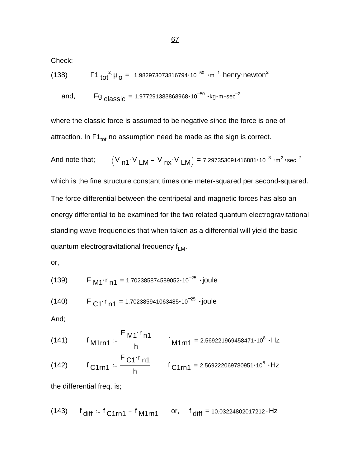Check:

(138) 
$$
F1_{tot}^{2} \mu_0 = -1.982973073816794 \cdot 10^{-50} \cdot m^{-1} \cdot \text{henry newton}^2
$$

and, Fg  $_{\text{classic}}$  = 1.977291383868968 $\cdot$ 10<sup>-50</sup>  $\cdot$ kg $\cdot$ m $\cdot$ sec<sup>-2</sup>

where the classic force is assumed to be negative since the force is one of attraction. In  $F1_{\text{tot}}$  no assumption need be made as the sign is correct.

And note that; 
$$
(V_{n1} \cdot V_{LM} - V_{nx} \cdot V_{LM}) = 7.297353091416881 \cdot 10^{-3} \cdot m^2 \cdot sec^{-2}
$$
  
which is the fine structure constant times one meter-squared per second-squared.  
The force differential between the centripetal and magnetic forces has also an  
energy differential to be examined for the two related quantum electrogravitational  
standing wave frequencies that when taken as a differential will yield the basic  
quantum electrogravitational frequency  $f_{LM}$ .

or,

$$
(139) \tF M1^{r} n1 = 1.702385874589052 \cdot 10^{-25} \cdot joule
$$

$$
(140) \tF C1^{r} n1 = 1.702385941063485 \cdot 10^{-25} \cdot joule
$$

And;

(141) 
$$
f_{M1rn1} = \frac{F_{M1} \cdot r_{n1}}{h}
$$
  $f_{M1rn1} = 2.569221969458471 \cdot 10^8 \cdot Hz$ 

(142) 
$$
f_{C1rn1} = \frac{F_{C1}r_{n1}}{h}
$$
  $f_{C1rn1} = 2.569222069780951 \cdot 10^8 \cdot Hz$ 

the differential freq. is;

(143) 
$$
f_{\text{diff}} = f_{\text{C1rn1}} - f_{\text{M1rn1}}
$$
 or,  $f_{\text{diff}} = 10.03224802017212 \cdot Hz$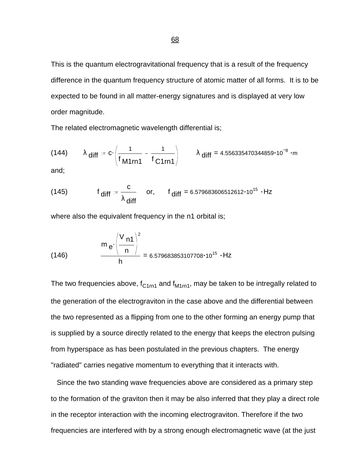This is the quantum electrogravitational frequency that is a result of the frequency difference in the quantum frequency structure of atomic matter of all forms. It is to be expected to be found in all matter-energy signatures and is displayed at very low order magnitude.

The related electromagnetic wavelength differential is;

(144) 
$$
\lambda
$$
 diff  $= c \cdot \left( \frac{1}{f_{M1rn1}} - \frac{1}{f_{C1rn1}} \right)$   $\lambda$  diff  $= 4.556335470344859 \cdot 10^{-8} \cdot m$ 

and;

(145) 
$$
f_{\text{diff}} = \frac{c}{\lambda_{\text{diff}}}
$$
 or,  $f_{\text{diff}} = 6.579683606512612 \cdot 10^{15} \cdot Hz$ 

where also the equivalent frequency in the n1 orbital is;

$$
(146) \qquad \frac{m_e \cdot \left(\frac{V_{n1}}{n}\right)^2}{h} = 6.579683853107708 \cdot 10^{15} \cdot Hz
$$

The two frequencies above,  $f_{C1rn1}$  and  $f_{M1rn1}$ , may be taken to be intregally related to the generation of the electrograviton in the case above and the differential between the two represented as a flipping from one to the other forming an energy pump that is supplied by a source directly related to the energy that keeps the electron pulsing from hyperspace as has been postulated in the previous chapters. The energy "radiated" carries negative momentum to everything that it interacts with.

 Since the two standing wave frequencies above are considered as a primary step to the formation of the graviton then it may be also inferred that they play a direct role in the receptor interaction with the incoming electrograviton. Therefore if the two frequencies are interfered with by a strong enough electromagnetic wave (at the just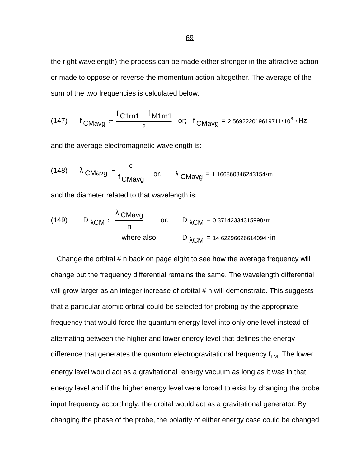the right wavelength) the process can be made either stronger in the attractive action or made to oppose or reverse the momentum action altogether. The average of the sum of the two frequencies is calculated below.

(147) 
$$
f_{CMavg} = \frac{f_{C1rn1} + f_{M1rn1}}{2}
$$
 or;  $f_{CMavg} = 2.569222019619711 \cdot 10^8 \cdot Hz$ 

and the average electromagnetic wavelength is:

(148) 
$$
\lambda
$$
 CMavg =  $\frac{c}{f_{\text{CMavg}}}$  or,  $\lambda$  CMavg = 1.166860846243154·m

and the diameter related to that wavelength is:

(149) 
$$
D_{\lambda CM} = \frac{\lambda \text{ CMavg}}{\pi}
$$
 or,  $D_{\lambda CM} = 0.37142334315998 \cdot m$   
where also;  $D_{\lambda CM} = 14.62296626614094 \cdot in$ 

 Change the orbital # n back on page eight to see how the average frequency will change but the frequency differential remains the same. The wavelength differential will grow larger as an integer increase of orbital # n will demonstrate. This suggests that a particular atomic orbital could be selected for probing by the appropriate frequency that would force the quantum energy level into only one level instead of alternating between the higher and lower energy level that defines the energy difference that generates the quantum electrogravitational frequency  $f_{LM}$ . The lower energy level would act as a gravitational energy vacuum as long as it was in that energy level and if the higher energy level were forced to exist by changing the probe input frequency accordingly, the orbital would act as a gravitational generator. By changing the phase of the probe, the polarity of either energy case could be changed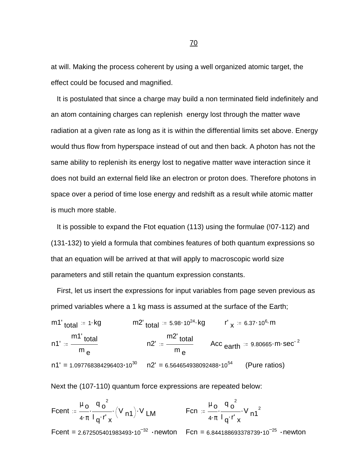at will. Making the process coherent by using a well organized atomic target, the effect could be focused and magnified.

 It is postulated that since a charge may build a non terminated field indefinitely and an atom containing charges can replenish energy lost through the matter wave radiation at a given rate as long as it is within the differential limits set above. Energy would thus flow from hyperspace instead of out and then back. A photon has not the same ability to replenish its energy lost to negative matter wave interaction since it does not build an external field like an electron or proton does. Therefore photons in space over a period of time lose energy and redshift as a result while atomic matter is much more stable.

 It is possible to expand the Ftot equation (113) using the formulae (!07-112) and (131-132) to yield a formula that combines features of both quantum expressions so that an equation will be arrived at that will apply to macroscopic world size parameters and still retain the quantum expression constants.

 First, let us insert the expressions for input variables from page seven previous as primed variables where a 1 kg mass is assumed at the surface of the Earth;

m1' <sub>total</sub> := 1 kg m2' <sub>total</sub> := 5.98 10<sup>24</sup> kg r' <sub>x</sub> := 6.37 10<sup>6</sup> m n1' m1' <sub>total</sub> m <sub>e</sub> n2' m2' <sub>total</sub> m <sub>e</sub> Acc  $_{\mathsf{earth}}$  := 9.80665 $\cdot$ m $\cdot$ sec $^{-2}$  $n1' = 1.097768384296403 \cdot 10^{30}$   $n2' = 6.564654938092488 \cdot 10^{54}$  (Pure ratios)

Next the (107-110) quantum force expressions are repeated below:

Feent

\n
$$
\begin{aligned}\n&= \frac{\mu_0}{4 \cdot \pi} \cdot \frac{q_0^2}{q \cdot r} \cdot (V_{n1}) \cdot V_{LM} & \text{Fcn} \\
&= \frac{\mu_0}{4 \cdot \pi} \cdot \frac{q_0^2}{q \cdot r} \cdot V_{n1}^2 \\
&= 2.672505401983493 \cdot 10^{-32} \cdot \text{newton} & \text{Fcn} \\
&= 6.844188693378739 \cdot 10^{-25} \cdot \text{newton}\n\end{aligned}
$$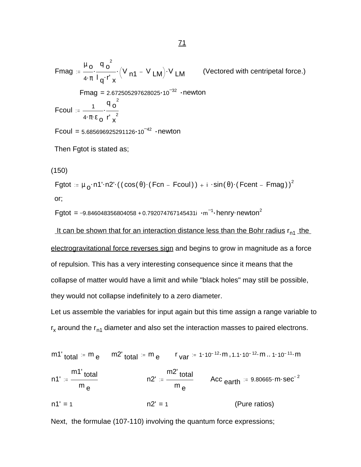Fmag := 
$$
\frac{\mu_0}{4 \cdot \pi} \cdot \frac{q_0^2}{q \cdot r_x} \cdot (V_{n1} - V_{LM}) \cdot V_{LM}
$$
 (Vectored with centripetal force.)

\nFmag = 2.672505297628025·10<sup>-32</sup> · newton

\nFcoul :=  $\frac{1}{4 \cdot \pi \cdot \epsilon_0} \cdot \frac{q_0^2}{r_x^2}$ 

\nFcoul = 5.685696925291126·10<sup>-42</sup> · newton

\nThen Fgtot is stated as;

(150)

Fgtot :=  $\mu$  <sub>O</sub>·n1'·n2'·((cos(θ)·(Fcn – Fcoul)) + i ·sin(θ)·(Fcent – Fmag))<sup>2</sup> or;

Fgtot = -9.846048356804058 + 0.792074767145431 $\mathfrak{i}\cdot\mathfrak{m}^{-1}\cdot$ henry $\cdot$ newton $^2$ 

It can be shown that for an interaction distance less than the Bohr radius  $r_{n1}$  the electrogravitational force reverses sign and begins to grow in magnitude as a force of repulsion. This has a very interesting consequence since it means that the collapse of matter would have a limit and while "black holes" may still be possible, they would not collapse indefinitely to a zero diameter.

Let us assemble the variables for input again but this time assign a range variable to  $r_{x}$  around the  $r_{n1}$  diameter and also set the interaction masses to paired electrons.

m1' <sub>total</sub> := m <sub>e</sub> m2' <sub>total</sub> := m <sub>e</sub> r <sub>var</sub> := 1·10<sup>-12</sup>·m ,1.1·10<sup>-12</sup>·m .. 1·10<sup>-11</sup>·m n1' m1' <sub>total</sub> m <sub>e</sub> n2' m2' <sub>total</sub> m <sub>e</sub> Acc  $_{\mathsf{earth}}$  := 9.80665 $\cdot$ m $\cdot$ sec $^{-2}$  $n1' = 1$   $n2' = 1$  (Pure ratios)

Next, the formulae (107-110) involving the quantum force expressions;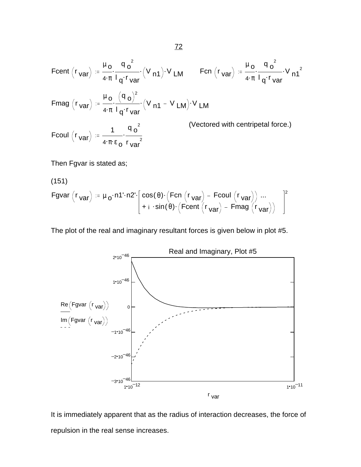Feent 
$$
(r_{var}) = \frac{\mu_0}{4 \cdot \pi} \cdot \frac{q_0^2}{l_q \cdot r_{var}} \cdot (V_{n1}) \cdot V_{LM}
$$

\nFor  $(r_{var}) = \frac{\mu_0}{4 \cdot \pi} \cdot \frac{q_0^2}{l_q \cdot r_{var}} \cdot V_{n1}^2$ 

\nFrom  $(r_{var}) = \frac{\mu_0}{4 \cdot \pi} \cdot \frac{(q_0)^2}{l_q \cdot r_{var}} \cdot (V_{n1} - V_{LM}) \cdot V_{LM}$ 

\nFrom  $(r_{var}) = \frac{\mu_0}{4 \cdot \pi} \cdot \frac{(q_0)^2}{l_q \cdot r_{var}} \cdot (V_{n1} - V_{LM}) \cdot V_{LM}$ 

\n(Vectored with centripetal force.)

\nFrom  $(r_{var}) = \frac{1}{4 \cdot \pi} \cdot \frac{q_0^2}{l_q \cdot r_{var}}$  (Vectored with centripetal force.)

Then Fgvar is stated as;

(151)  
\nFgvar 
$$
(r_{var}) = \mu_0 \cdot n1 \cdot n2 \cdot \left[ \cos(\theta) \cdot (\text{Fcn } (r_{var}) - \text{Fcoul } (r_{var})) \dots \right]^{2}
$$
  
\n $+ i \cdot \sin(\theta) \cdot (\text{Fcent } (r_{var}) - \text{Fmag } (r_{var})) \right]^{2}$ 

The plot of the real and imaginary resultant forces is given below in plot #5.



It is immediately apparent that as the radius of interaction decreases, the force of repulsion in the real sense increases.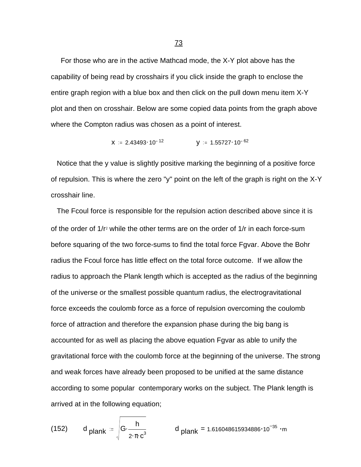For those who are in the active Mathcad mode, the X-Y plot above has the capability of being read by crosshairs if you click inside the graph to enclose the entire graph region with a blue box and then click on the pull down menu item X-Y plot and then on crosshair. Below are some copied data points from the graph above where the Compton radius was chosen as a point of interest.

$$
X := 2.43493 \cdot 10^{-12}
$$
  $Y := 1.55727 \cdot 10^{-62}$ 

 Notice that the y value is slightly positive marking the beginning of a positive force of repulsion. This is where the zero "y" point on the left of the graph is right on the X-Y crosshair line.

 The Fcoul force is responsible for the repulsion action described above since it is of the order of 1/r<sup>2</sup> while the other terms are on the order of 1/r in each force-sum before squaring of the two force-sums to find the total force Fgvar. Above the Bohr radius the Fcoul force has little effect on the total force outcome. If we allow the radius to approach the Plank length which is accepted as the radius of the beginning of the universe or the smallest possible quantum radius, the electrogravitational force exceeds the coulomb force as a force of repulsion overcoming the coulomb force of attraction and therefore the expansion phase during the big bang is accounted for as well as placing the above equation Fgvar as able to unify the gravitational force with the coulomb force at the beginning of the universe. The strong and weak forces have already been proposed to be unified at the same distance according to some popular contemporary works on the subject. The Plank length is arrived at in the following equation;

(152) d 
$$
\rho
$$
lank  $= \sqrt{G \cdot \frac{h}{2 \cdot \pi \cdot c^3}}$  d  $\rho$ lank = 1.616048615934886 \cdot 10<sup>-35</sup> \cdot m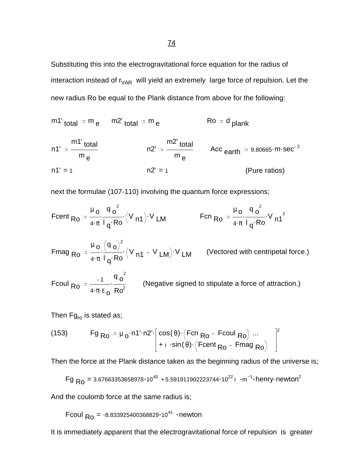Substituting this into the electrogravitational force equation for the radius of interaction instead of  $r_{VAR}$  will yield an extremely large force of repulsion. Let the new radius Ro be equal to the Plank distance from above for the following:

$$
m1'_{total} = m_e
$$
  $m2'_{total} = m_e$   $R0 = d_{plank}$ 

n1' m1' <sub>total</sub> m <sub>e</sub> n2' m2' <sub>total</sub> m <sub>e</sub> Acc  $_{\mathsf{earth}}$  := 9.80665 $\cdot$ m $\cdot$ sec $^{-2}$  $n1' = 1$   $n2' = 1$  (Pure ratios)

next the formulae (107-110) involving the quantum force expressions;

$$
\text{Feent}_{Ro} := \frac{\mu_o}{4 \cdot \pi} \cdot \frac{q_o^2}{I_q \cdot Ro} \cdot (V_{n1}) \cdot V_{LM}
$$
\n
$$
\text{Fen}_{Ro} := \frac{\mu_o}{4 \cdot \pi} \cdot \frac{q_o^2}{I_q \cdot Ro} \cdot V_{n1}^2
$$

\n
$$
\text{Fmag}_{\text{RO}} = \frac{\mu_o}{4 \cdot \pi} \cdot \frac{(q_o)^2}{l_q \cdot \text{Ro}} \cdot (V_{\text{n1}} - V_{\text{LM}}) \cdot V_{\text{LM}}
$$
\n*(Vectored with centripetal force.)*\n

Fcoul  $R_0 = \frac{-1}{4.78}$ .  $4 \cdot \pi \cdot \epsilon$  o  $q_o^2$  $Ro<sup>2</sup>$ (Negative signed to stipulate a force of attraction.)

Then  $Fg_{ro}$  is stated as;

(153) 
$$
Fg_{Ro} = \mu_o \cdot n1 \cdot n2 \cdot \begin{bmatrix} \cos(\theta) \cdot (Fcn_{Ro} - Fcoul_{Ro}) ... \\ + i \cdot \sin(\theta) \cdot (Fcent_{Ro} - Fmag_{Ro}) \end{bmatrix}
$$

Then the force at the Plank distance taken as the beginning radius of the universe is;

2

$$
Fg_{R0} = 3.67663353658978 \cdot 10^{45} + 5.591911902223744 \cdot 10^{22} i \cdot m^{-1} \cdot \text{henry}\cdot \text{newton}^2
$$

And the coulomb force at the same radius is;

Fcoul  $_{\rm Ro}$  = -8.833925400368829 $\cdot$ 10<sup>41</sup>  $\cdot$ newton

It is immediately apparent that the electrogravitational force of repulsion is greater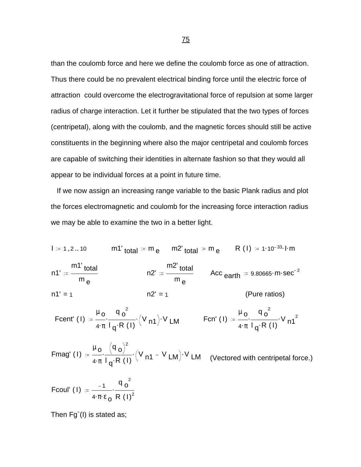than the coulomb force and here we define the coulomb force as one of attraction. Thus there could be no prevalent electrical binding force until the electric force of attraction could overcome the electrogravitational force of repulsion at some larger radius of charge interaction. Let it further be stipulated that the two types of forces (centripetal), along with the coulomb, and the magnetic forces should still be active constituents in the beginning where also the major centripetal and coulomb forces are capable of switching their identities in alternate fashion so that they would all appear to be individual forces at a point in future time.

 If we now assign an increasing range variable to the basic Plank radius and plot the forces electromagnetic and coulomb for the increasing force interaction radius we may be able to examine the two in a better light.

 $I = 1, 2...10$  m1'  $_{total}$  = m  $_{e}$  m2'  $_{total}$  = m  $_{e}$  = R (1) = 1·10<sup>-33</sup> l·m n1' m1' <sub>total</sub> m <sub>e</sub> n2' m2' <sub>total</sub> m <sub>e</sub> Acc  $_{\mathsf{earth}}$  := 9.80665 $\cdot$ m $\cdot$ sec $^{-2}$  $n1' = 1$  n2' = 1 (Pure ratios) Fcent' (1)  $:= \frac{\mu_0}{\sqrt{2}} \cdot \frac{q_0^2}{\sqrt{2}} \cdot (V_{n1}).$  $4 \cdot \pi$  $q_o^2$  $\frac{q_0^2}{q_1^2 R_1(1)} (V_{n1}) V_{n1}$  Fcn' (1)  $= \frac{\mu_0}{4 \pi} \frac{q_0^2}{q_1^2 R_1(1)}$  $4 \cdot \pi$  $q_o^2$  $\frac{1}{\log R (l)} V n1^2$ 

Fmag' ( I)  $:=\frac{\mu_0}{\cdot} \cdot \frac{(q_0)^2}{\cdot} \cdot (V_{n1} - V_{LM})$ .  $4 \cdot \pi$  $\mathsf{q}_\mathsf{O}$ <sup>2</sup>  $\frac{1}{\log R(1)}$  (<sup>V</sup> n1 <sup>– V</sup> LM)<sup>. V</sup> LM (Vectored with centripetal force.)

Fcoul' (1) = 
$$
\frac{-1}{4 \cdot \pi \cdot \epsilon_0} \cdot \frac{q_0^2}{R (1)^2}
$$

Then Fg`(I) is stated as;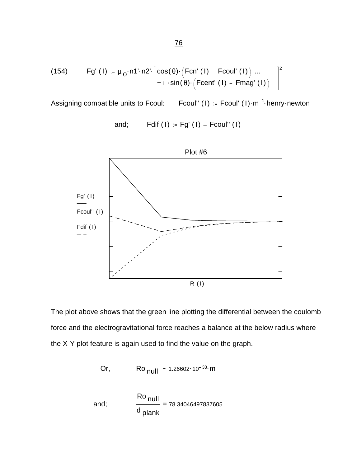(154) 
$$
Fg'(1) := \mu_0 \cdot n1 \cdot n2 \cdot \left[ \cos(\theta) \cdot (Fcn'(1) - Fcoul'(1)) \dots \right]^{2} + i \cdot sin(\theta) \cdot (Fcent'(1) - Fmag'(1)) \right]^{2}
$$

Assigning compatible units to Fcoul: <sup>1</sup> henry newton

and; 
$$
Fdiff(I) := Fg'(I) + Fcoul''(I)
$$



The plot above shows that the green line plotting the differential between the coulomb force and the electrogravitational force reaches a balance at the below radius where the X-Y plot feature is again used to find the value on the graph.

Or, 
$$
\text{Ro}_{null} = 1.26602 \cdot 10^{-33} \cdot \text{m}
$$

and; 
$$
\frac{Ro_{\text{null}}}{d_{\text{plank}}} = 78.34046497837605
$$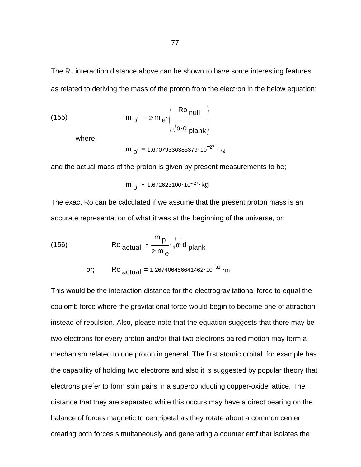(155) 
$$
m_{p'} = 2 \cdot m_e \cdot \frac{Ro_{null}}{\sqrt{\alpha \cdot d_{plank}}}
$$

where;

 $m_{p'} = 1.67079336385379 \cdot 10^{-27}$  ·kg

and the actual mass of the proton is given by present measurements to be;

$$
m_{p} = 1.672623100 \cdot 10^{-27} \text{ kg}
$$

The exact Ro can be calculated if we assume that the present proton mass is an accurate representation of what it was at the beginning of the universe, or;

(156) 
$$
\mathsf{Ro}_{\text{actual}} = \frac{\mathsf{m}_{\mathsf{p}}}{2 \cdot \mathsf{m}_{\mathsf{e}}} \cdot \sqrt{\alpha} \cdot \mathsf{d}_{\text{plank}}
$$

$$
or; \t Ro_{actual} = 1.267406456641462 \cdot 10^{-33} \cdot m
$$

This would be the interaction distance for the electrogravitational force to equal the coulomb force where the gravitational force would begin to become one of attraction instead of repulsion. Also, please note that the equation suggests that there may be two electrons for every proton and/or that two electrons paired motion may form a mechanism related to one proton in general. The first atomic orbital for example has the capability of holding two electrons and also it is suggested by popular theory that electrons prefer to form spin pairs in a superconducting copper-oxide lattice. The distance that they are separated while this occurs may have a direct bearing on the balance of forces magnetic to centripetal as they rotate about a common center creating both forces simultaneously and generating a counter emf that isolates the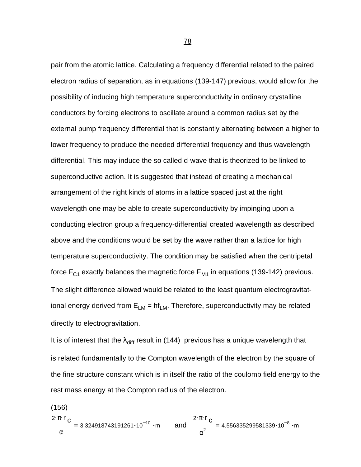pair from the atomic lattice. Calculating a frequency differential related to the paired electron radius of separation, as in equations (139-147) previous, would allow for the possibility of inducing high temperature superconductivity in ordinary crystalline conductors by forcing electrons to oscillate around a common radius set by the external pump frequency differential that is constantly alternating between a higher to lower frequency to produce the needed differential frequency and thus wavelength differential. This may induce the so called d-wave that is theorized to be linked to superconductive action. It is suggested that instead of creating a mechanical arrangement of the right kinds of atoms in a lattice spaced just at the right wavelength one may be able to create superconductivity by impinging upon a conducting electron group a frequency-differential created wavelength as described above and the conditions would be set by the wave rather than a lattice for high temperature superconductivity. The condition may be satisfied when the centripetal force  $F_{C1}$  exactly balances the magnetic force  $F_{M1}$  in equations (139-142) previous. The slight difference allowed would be related to the least quantum electrogravitational energy derived from  $E_{LM} = hf_{LM}$ . Therefore, superconductivity may be related directly to electrogravitation.

It is of interest that the  $\lambda_{\text{diff}}$  result in (144) previous has a unique wavelength that is related fundamentally to the Compton wavelength of the electron by the square of the fine structure constant which is in itself the ratio of the coulomb field energy to the rest mass energy at the Compton radius of the electron.

(156) = 2 <mark>· π · r</mark> <sub>C</sub> α 3.324918743191261 $\cdot$ 10<sup>-10</sup> $\cdot$ m and  $\frac{6}{10}$  = 2 <mark>· π · r</mark> <sub>C</sub>  $\frac{6}{\alpha^2}$  = 4.556335299581339 $\cdot$ 10<sup>-8</sup> ·m

ли в село в село в село в 1<u>78 година в 178</u>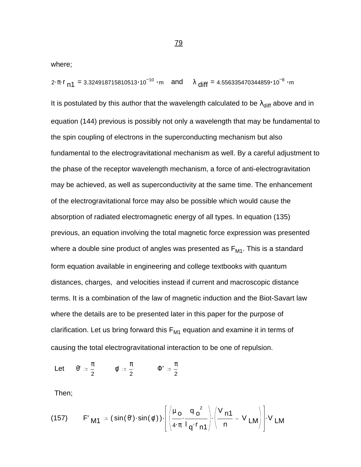where;

2· $\pi$ ·r <sub>n1</sub> = 3.324918715810513•10 $^{-10}$  ·m and  $\lambda$  <sub>diff</sub> = 4.556335470344859•10 $^{-8}$  ·m

It is postulated by this author that the wavelength calculated to be  $\lambda_{\text{diff}}$  above and in equation (144) previous is possibly not only a wavelength that may be fundamental to the spin coupling of electrons in the superconducting mechanism but also fundamental to the electrogravitational mechanism as well. By a careful adjustment to the phase of the receptor wavelength mechanism, a force of anti-electrogravitation may be achieved, as well as superconductivity at the same time. The enhancement of the electrogravitational force may also be possible which would cause the absorption of radiated electromagnetic energy of all types. In equation (135) previous, an equation involving the total magnetic force expression was presented where a double sine product of angles was presented as  $F_{M1}$ . This is a standard form equation available in engineering and college textbooks with quantum distances, charges, and velocities instead if current and macroscopic distance terms. It is a combination of the law of magnetic induction and the Biot-Savart law where the details are to be presented later in this paper for the purpose of clarification. Let us bring forward this  $F_{M1}$  equation and examine it in terms of causing the total electrogravitational interaction to be one of repulsion.

Let  $\theta' := \frac{\pi}{2}$ 2  $\phi' := \frac{\pi}{\pi}$ 2  $\Phi' = \frac{\pi}{4}$ 2

Then;

(157) 
$$
F'_{\mathbf{M1}} = (\sin(\theta') \cdot \sin(\phi')) \cdot \left[ \left( \frac{\mu_o}{4 \cdot \pi} \cdot \frac{q_o^2}{l_q \cdot r_{\mathbf{n1}}} \right) \cdot \left( \frac{V_{\mathbf{n1}}}{n} - V_{\mathbf{LM}} \right) \right] \cdot V_{\mathbf{LM}}
$$

79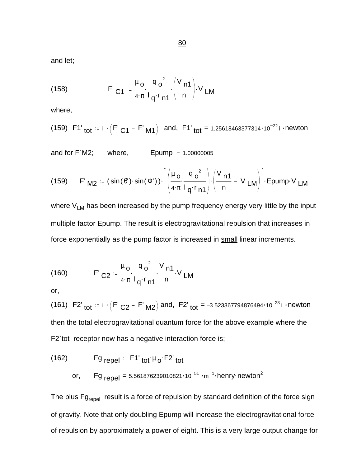and let;

(158) 
$$
F'_{C1} = \frac{\mu_0}{4 \pi} \frac{q_0^2}{l_q r_{n1}} \left(\frac{V_{n1}}{n}\right) V_{LM}
$$

where,

(159) F1' tot = 
$$
i \cdot (F' C_1 - F' M_1)
$$
 and, F1' tot = 1.25618463377314·10<sup>-22</sup> i - newton

and for  $F'M2$ ; where, Epump  $= 1.00000005$ 

(159) F' M2 = (sin(
$$
\theta
$$
')·sin( $\Phi$ ')) $\cdot$  $\left[ \left( \frac{\mu_0}{4 \cdot \pi} \cdot \frac{q_0^2}{l_q \cdot r_{n1}} \right) \cdot \left( \frac{V_{n1}}{n} - V_{LM} \right) \right]$  Epump V LM

where  $V_{LM}$  has been increased by the pump frequency energy very little by the input multiple factor Epump. The result is electrogravitational repulsion that increases in force exponentially as the pump factor is increased in small linear increments.

(160) 
$$
F'_{C2} = \frac{\mu_0}{4 \pi} \frac{q_0^2}{l_q r_{n1}} \frac{V_{n1}}{n} V_{LM}
$$

or,

(161) F2'<sub>tot</sub> = i  $\cdot$  (F'<sub>C2</sub> - F'<sub>M2</sub>) and, F2'<sub>tot</sub> = -3.523367794876494 $\cdot$ 10<sup>-23</sup>i  $\cdot$ newton then the total electrogravitational quantum force for the above example where the F2`tot receptor now has a negative interaction force is;

(162) 
$$
Fg_{repel} = F1'_{tot} \mu_0 \cdot F2'_{tot}
$$
  
or, 
$$
Fg_{repel} = 5.561876239010821 \cdot 10^{-51} \cdot m^{-1} \cdot henry \cdot newton^2
$$

The plus  $Fg_{\text{repel}}$  result is a force of repulsion by standard definition of the force sign of gravity. Note that only doubling Epump will increase the electrogravitational force of repulsion by approximately a power of eight. This is a very large output change for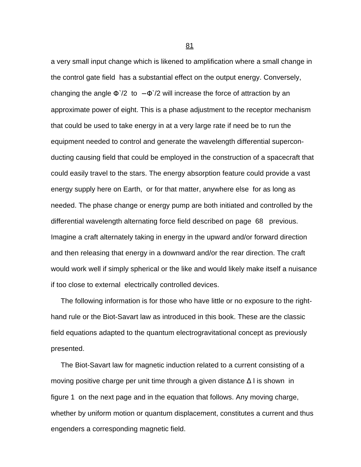a very small input change which is likened to amplification where a small change in the control gate field has a substantial effect on the output energy. Conversely, changing the angle  $\Phi$ <sup> $\gamma$ </sup>2 to  $-\Phi$ <sup> $\gamma$ </sup>2 will increase the force of attraction by an approximate power of eight. This is a phase adjustment to the receptor mechanism that could be used to take energy in at a very large rate if need be to run the equipment needed to control and generate the wavelength differential superconducting causing field that could be employed in the construction of a spacecraft that could easily travel to the stars. The energy absorption feature could provide a vast energy supply here on Earth, or for that matter, anywhere else for as long as needed. The phase change or energy pump are both initiated and controlled by the differential wavelength alternating force field described on page 68 previous. Imagine a craft alternately taking in energy in the upward and/or forward direction and then releasing that energy in a downward and/or the rear direction. The craft would work well if simply spherical or the like and would likely make itself a nuisance if too close to external electrically controlled devices.

 The following information is for those who have little or no exposure to the righthand rule or the Biot-Savart law as introduced in this book. These are the classic field equations adapted to the quantum electrogravitational concept as previously presented.

 The Biot-Savart law for magnetic induction related to a current consisting of a moving positive charge per unit time through a given distance  $\Delta$  l is shown in figure 1 on the next page and in the equation that follows. Any moving charge, whether by uniform motion or quantum displacement, constitutes a current and thus engenders a corresponding magnetic field.

<u>81 - John Stein, amerikansk politiker (</u>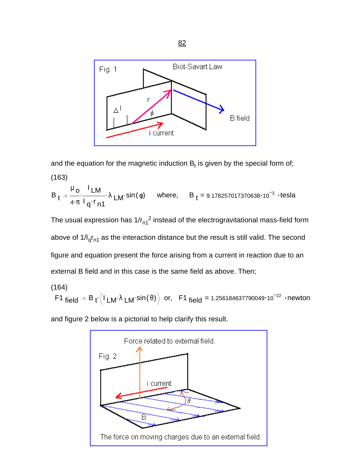

and the equation for the magnetic induction  $\mathsf{B}_\mathsf{t}$  is given by the special form of; (163)

$$
B_t := \frac{\mu_0}{4 \cdot \pi} \cdot \frac{I_{LM}}{I_q \cdot r_{n1}} \cdot \lambda_{LM} \cdot \sin(\phi) \quad \text{where,} \quad B_t = 9.178257017370638 \cdot 10^{-3} \cdot \text{tesla}
$$

The usual expression has 1/r $_{\sf n1}^2$  instead of the electrogravitational mass-field form above of 1/l<sub>q</sub>r<sub>n1</sub> as the interaction distance but the result is still valid. The second figure and equation present the force arising from a current in reaction due to an external B field and in this case is the same field as above. Then;

(164)

F1 field  $\stackrel{.}{=}$  B  $_{\mathfrak{t}}\bigl($  I  $_{\mathsf{LM}}\cdot$   $\lambda$   $_{\mathsf{LM}}\cdot$  sin(  $\theta$  )  $\bigr)$  or,  $\;$  F1 field = 1.256184637790049 $\cdot$ 10 $^{-22}$   $\cdot$ newton

and figure 2 below is a pictorial to help clarify this result.



The force on moving charges due to an external field.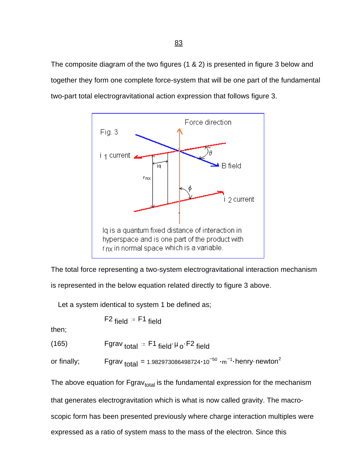The composite diagram of the two figures (1 & 2) is presented in figure 3 below and together they form one complete force-system that will be one part of the fundamental two-part total electrogravitational action expression that follows figure 3.



Iq is a quantum fixed distance of interaction in hyperspace and is one part of the product with  $r_{\text{DX}}$  in normal space which is a variable.

The total force representing a two-system electrogravitational interaction mechanism

is represented in the below equation related directly to figure 3 above.

Let a system identical to system 1 be defined as;

 $F2$  field  $F1$  field

then;

(165) Fgrav total F1 . . field <sup>μ</sup> o F2 field

or finally; Fgrav <sub>total</sub> = 1.982973086498724 $\cdot$ 10 $^{-50}$   $\cdot$ m $^{-1}\cdot$ henry $\cdot$ newton $^2$ 

The above equation for Fgrav<sub>total</sub> is the fundamental expression for the mechanism

that generates electrogravitation which is what is now called gravity. The macro-

scopic form has been presented previously where charge interaction multiples were

expressed as a ratio of system mass to the mass of the electron. Since this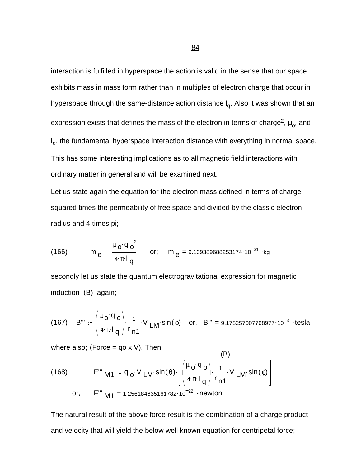interaction is fulfilled in hyperspace the action is valid in the sense that our space exhibits mass in mass form rather than in multiples of electron charge that occur in hyperspace through the same-distance action distance I<sub>q</sub>. Also it was shown that an expression exists that defines the mass of the electron in terms of charge<sup>2</sup>,  $\mu_{\rm o}$ , and I<sub>q</sub>, the fundamental hyperspace interaction distance with everything in normal space. This has some interesting implications as to all magnetic field interactions with ordinary matter in general and will be examined next.

Let us state again the equation for the electron mass defined in terms of charge squared times the permeability of free space and divided by the classic electron radius and 4 times pi;

(166) 
$$
m_e = \frac{\mu_0 q_0^2}{4 \pi I_q}
$$
 or;  $m_e = 9.109389688253174 \cdot 10^{-31} \cdot kg$ 

secondly let us state the quantum electrogravitational expression for magnetic induction (B) again;

(167) 
$$
B''' := \left(\frac{\mu_0 \cdot q_0}{4 \cdot \pi \cdot l_q}\right) \cdot \frac{1}{r_{n1}} \cdot V_{LM} \cdot \sin(\phi) \text{ or, } B''' = 9.178257007768977 \cdot 10^{-3} \cdot \text{tesla}
$$

(B)

where also; (Force =  $qo x V$ ). Then:

(168) F''' M1 = 
$$
q_o \cdot V_{LM} \sin(\theta) \cdot \left[ \left( \frac{\mu_o \cdot q_o}{4 \cdot \pi \cdot l_q} \right) \cdot \frac{1}{r_{n1}} \cdot V_{LM} \cdot \sin(\phi) \right]
$$
  
or, F''' M1 = 1.256184635161782·10<sup>-22</sup> - newton

The natural result of the above force result is the combination of a charge product and velocity that will yield the below well known equation for centripetal force;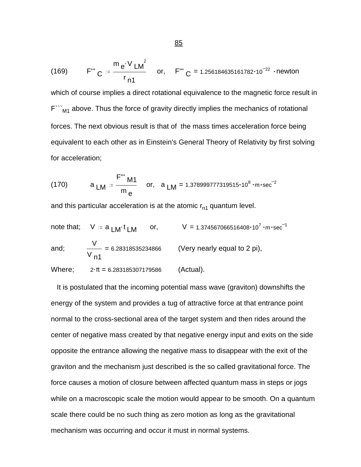(169) 
$$
F''' = \frac{m e^{V} L M^2}{r_{n1}} \quad or, \quad F''' = 1.256184635161782 \cdot 10^{-22} \cdot newton
$$

which of course implies a direct rotational equivalence to the magnetic force result in  $F^{\cdots}_{\cdots M1}$  above. Thus the force of gravity directly implies the mechanics of rotational forces. The next obvious result is that of the mass times acceleration force being equivalent to each other as in Einstein's General Theory of Relativity by first solving for acceleration;

(170) 
$$
a_{LM} = \frac{F''' M1}{m_e}
$$
 or,  $a_{LM} = 1.378999777319515 \cdot 10^8 \cdot m \cdot sec^{-2}$ 

and this particular acceleration is at the atomic  $r_{n1}$  quantum level.

note that; 
$$
V := a_{LM}t_{LM}
$$
 or,  $V = 1.374567066516408 \cdot 10^{7} \cdot m \cdot sec^{-1}$   
and;  $\frac{V}{V_{n1}} = 6.28318535234866$  (Very nearly equal to 2 pi),  
Where;  $2 \cdot \pi = 6.283185307179586$  (Actual).

 It is postulated that the incoming potential mass wave (graviton) downshifts the energy of the system and provides a tug of attractive force at that entrance point normal to the cross-sectional area of the target system and then rides around the center of negative mass created by that negative energy input and exits on the side opposite the entrance allowing the negative mass to disappear with the exit of the graviton and the mechanism just described is the so called gravitational force. The force causes a motion of closure between affected quantum mass in steps or jogs while on a macroscopic scale the motion would appear to be smooth. On a quantum scale there could be no such thing as zero motion as long as the gravitational mechanism was occurring and occur it must in normal systems.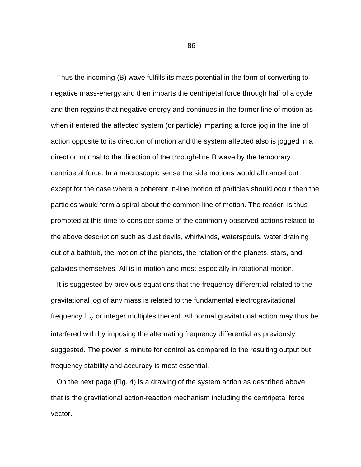Thus the incoming (B) wave fulfills its mass potential in the form of converting to negative mass-energy and then imparts the centripetal force through half of a cycle and then regains that negative energy and continues in the former line of motion as when it entered the affected system (or particle) imparting a force jog in the line of action opposite to its direction of motion and the system affected also is jogged in a direction normal to the direction of the through-line B wave by the temporary centripetal force. In a macroscopic sense the side motions would all cancel out except for the case where a coherent in-line motion of particles should occur then the particles would form a spiral about the common line of motion. The reader is thus prompted at this time to consider some of the commonly observed actions related to the above description such as dust devils, whirlwinds, waterspouts, water draining out of a bathtub, the motion of the planets, the rotation of the planets, stars, and galaxies themselves. All is in motion and most especially in rotational motion.

 It is suggested by previous equations that the frequency differential related to the gravitational jog of any mass is related to the fundamental electrogravitational frequency  $f_{LM}$  or integer multiples thereof. All normal gravitational action may thus be interfered with by imposing the alternating frequency differential as previously suggested. The power is minute for control as compared to the resulting output but frequency stability and accuracy is most essential.

 On the next page (Fig. 4) is a drawing of the system action as described above that is the gravitational action-reaction mechanism including the centripetal force vector.

<u>86 - John Stein, Amerikaansk politiker (</u>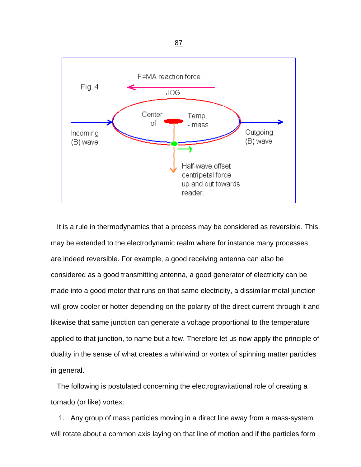

 It is a rule in thermodynamics that a process may be considered as reversible. This may be extended to the electrodynamic realm where for instance many processes are indeed reversible. For example, a good receiving antenna can also be considered as a good transmitting antenna, a good generator of electricity can be made into a good motor that runs on that same electricity, a dissimilar metal junction will grow cooler or hotter depending on the polarity of the direct current through it and likewise that same junction can generate a voltage proportional to the temperature applied to that junction, to name but a few. Therefore let us now apply the principle of duality in the sense of what creates a whirlwind or vortex of spinning matter particles in general.

 The following is postulated concerning the electrogravitational role of creating a tornado (or like) vortex:

 1. Any group of mass particles moving in a direct line away from a mass-system will rotate about a common axis laying on that line of motion and if the particles form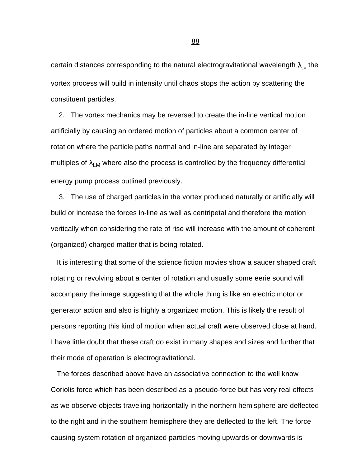certain distances corresponding to the natural electrogravitational wavelength  $\lambda_{LM}$  the vortex process will build in intensity until chaos stops the action by scattering the constituent particles.

 2. The vortex mechanics may be reversed to create the in-line vertical motion artificially by causing an ordered motion of particles about a common center of rotation where the particle paths normal and in-line are separated by integer multiples of  $\lambda_{LM}$  where also the process is controlled by the frequency differential energy pump process outlined previously.

 3. The use of charged particles in the vortex produced naturally or artificially will build or increase the forces in-line as well as centripetal and therefore the motion vertically when considering the rate of rise will increase with the amount of coherent (organized) charged matter that is being rotated.

 It is interesting that some of the science fiction movies show a saucer shaped craft rotating or revolving about a center of rotation and usually some eerie sound will accompany the image suggesting that the whole thing is like an electric motor or generator action and also is highly a organized motion. This is likely the result of persons reporting this kind of motion when actual craft were observed close at hand. I have little doubt that these craft do exist in many shapes and sizes and further that their mode of operation is electrogravitational.

 The forces described above have an associative connection to the well know Coriolis force which has been described as a pseudo-force but has very real effects as we observe objects traveling horizontally in the northern hemisphere are deflected to the right and in the southern hemisphere they are deflected to the left. The force causing system rotation of organized particles moving upwards or downwards is